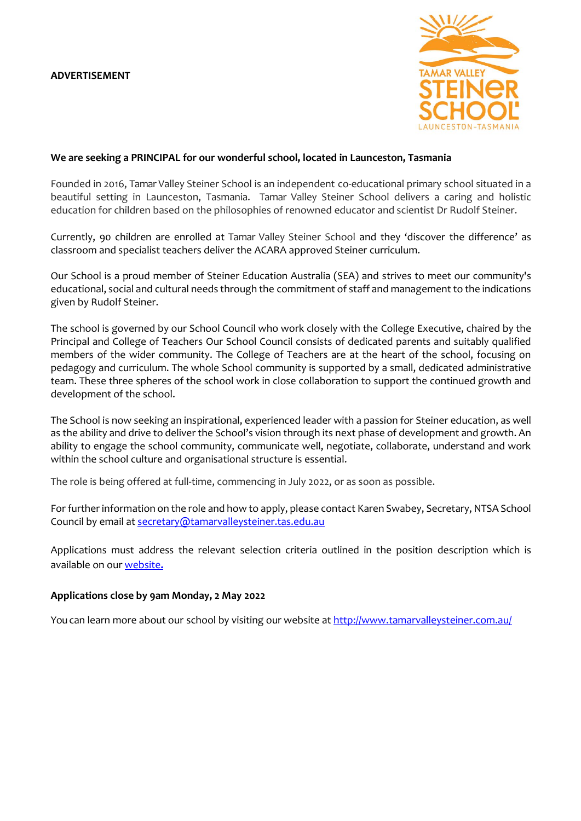

### **We are seeking a PRINCIPAL for our wonderful school, located in Launceston, Tasmania**

Founded in 2016, Tamar Valley Steiner School is an independent co-educational primary school situated in a beautiful setting in Launceston, Tasmania. Tamar Valley Steiner School delivers a caring and holistic education for children based on the philosophies of renowned educator and scientist Dr Rudolf Steiner.

Currently, 90 children are enrolled at Tamar Valley Steiner School and they 'discover the difference' as classroom and specialist teachers deliver the ACARA approved Steiner curriculum.

Our School is a proud member of Steiner Education Australia (SEA) and strives to meet our community's educational, social and cultural needs through the commitment of staff and management to the indications given by Rudolf Steiner.

The school is governed by our School Council who work closely with the College Executive, chaired by the Principal and College of Teachers Our School Council consists of dedicated parents and suitably qualified members of the wider community. The College of Teachers are at the heart of the school, focusing on pedagogy and curriculum. The whole School community is supported by a small, dedicated administrative team. These three spheres of the school work in close collaboration to support the continued growth and development of the school.

The School is now seeking an inspirational, experienced leader with a passion for Steiner education, as well as the ability and drive to deliver the School's vision through its next phase of development and growth. An ability to engage the school community, communicate well, negotiate, collaborate, understand and work within the school culture and organisational structure is essential.

The role is being offered at full-time, commencing in July 2022, or as soon as possible.

For further information on the role and how to apply, please contact Karen Swabey, Secretary, NTSA School Council by email at [secretary@tamarvalleysteiner.tas.edu.au](mailto:samb@tamarvalleysteiner.tas.edu.au)

Applications must address the relevant selection criteria outlined in the position description which is available on our [website](http://www.tamarvalleysteiner.com.au/employment.html)**.**

### **Applications close by 9am Monday, 2 May 2022**

You can learn more about our school by visiting our website at<http://www.tamarvalleysteiner.com.au/>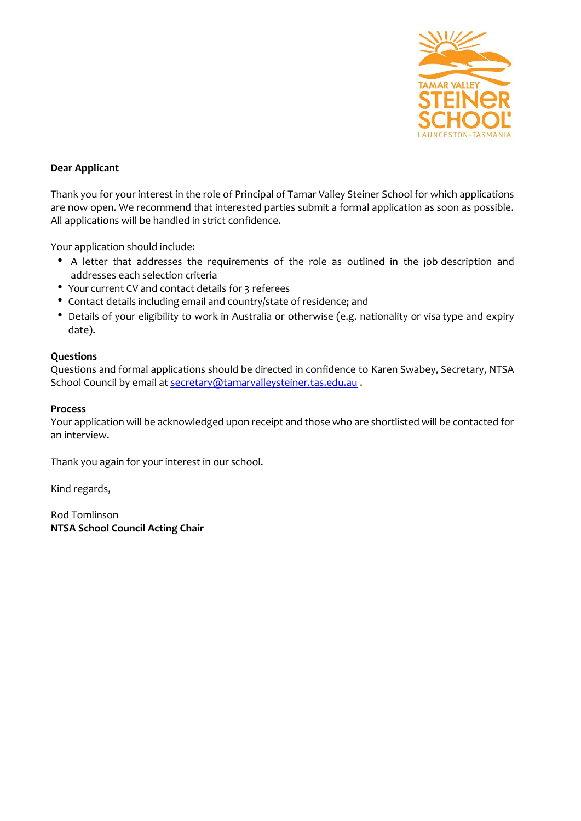

# **Dear Applicant**

Thank you for your interest in the role of Principal of Tamar Valley Steiner School for which applications are now open. We recommend that interested parties submit a formal application as soon as possible. All applications will be handled in strict confidence.

Your application should include:

- A letter that addresses the requirements of the role as outlined in the job description and addresses each selection criteria
- Your current CV and contact details for 3 referees
- Contact details including email and country/state of residence; and
- Details of your eligibility to work in Australia or otherwise (e.g. nationality or visa type and expiry date).

# **Questions**

Questions and formal applications should be directed in confidence to Karen Swabey, Secretary, NTSA School Council by email a[t secretary@tamarvalleysteiner.tas.edu.au](mailto:secretary@tamarvalleysteiner.tas.edu.au).

## **Process**

Your application will be acknowledged upon receipt and those who are shortlisted will be contacted for an interview.

Thank you again for your interest in our school.

Kind regards,

Rod Tomlinson **NTSA School Council Acting Chair**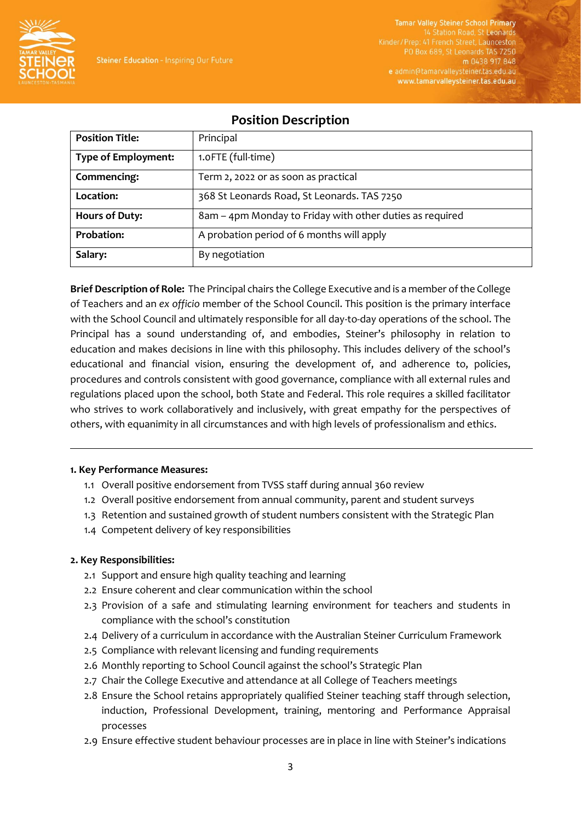

**Tamar Valley Steiner School Primary** 14 Station Road, St Leonard Kinder/Prep: 41 French Street, Launceston PO Box 689, St Leonards TAS 7250 m 0438 917 848 e admin@tamarvalleysteiner.tas.edu.au www.tamarvalleysteiner.tas.edu.au

# **Position Description**

| <b>Position Title:</b>     | Principal                                                |
|----------------------------|----------------------------------------------------------|
| <b>Type of Employment:</b> | 1.0FTE (full-time)                                       |
| Commencing:                | Term 2, 2022 or as soon as practical                     |
| Location:                  | 368 St Leonards Road, St Leonards. TAS 7250              |
| <b>Hours of Duty:</b>      | 8am – 4pm Monday to Friday with other duties as required |
| <b>Probation:</b>          | A probation period of 6 months will apply                |
| Salary:                    | By negotiation                                           |

**Brief Description of Role:** The Principal chairs the College Executive and is a member of the College of Teachers and an *ex officio* member of the School Council. This position is the primary interface with the School Council and ultimately responsible for all day-to-day operations of the school. The Principal has a sound understanding of, and embodies, Steiner's philosophy in relation to education and makes decisions in line with this philosophy. This includes delivery of the school's educational and financial vision, ensuring the development of, and adherence to, policies, procedures and controls consistent with good governance, compliance with all external rules and regulations placed upon the school, both State and Federal. This role requires a skilled facilitator who strives to work collaboratively and inclusively, with great empathy for the perspectives of others, with equanimity in all circumstances and with high levels of professionalism and ethics.

### **1. Key Performance Measures:**

- 1.1 Overall positive endorsement from TVSS staff during annual 360 review
- 1.2 Overall positive endorsement from annual community, parent and student surveys
- 1.3 Retention and sustained growth of student numbers consistent with the Strategic Plan
- 1.4 Competent delivery of key responsibilities

# **2. Key Responsibilities:**

- 2.1 Support and ensure high quality teaching and learning
- 2.2 Ensure coherent and clear communication within the school
- 2.3 Provision of a safe and stimulating learning environment for teachers and students in compliance with the school's constitution
- 2.4 Delivery of a curriculum in accordance with the Australian Steiner Curriculum Framework
- 2.5 Compliance with relevant licensing and funding requirements
- 2.6 Monthly reporting to School Council against the school's Strategic Plan
- 2.7 Chair the College Executive and attendance at all College of Teachers meetings
- 2.8 Ensure the School retains appropriately qualified Steiner teaching staff through selection, induction, Professional Development, training, mentoring and Performance Appraisal processes
- 2.9 Ensure effective student behaviour processes are in place in line with Steiner's indications